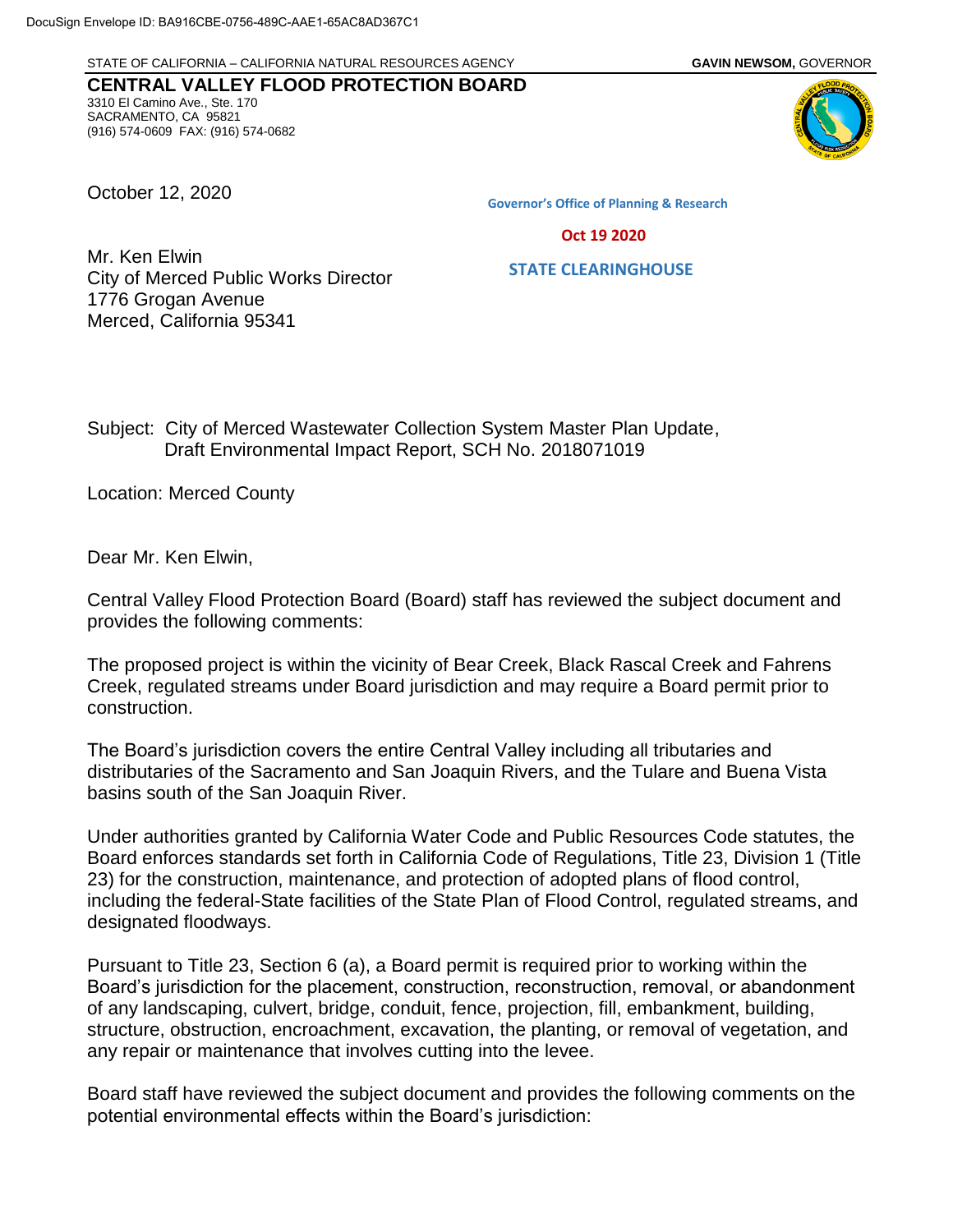STATE OF CALIFORNIA – CALIFORNIA NATURAL RESOURCES AGENCY **GAVIN NEWSOM,** GOVERNOR

**CENTRAL VALLEY FLOOD PROTECTION BOARD** 3310 El Camino Ave., Ste. 170 SACRAMENTO, CA 95821 (916) 574-0609 FAX: (916) 574-0682

October 12, 2020

**Governor's Office of Planning & Research**

 **Oct 19 2020**

## **STATE CLEARINGHOUSE**

Mr. Ken Elwin City of Merced Public Works Director 1776 Grogan Avenue Merced, California 95341

Subject: City of Merced Wastewater Collection System Master Plan Update, Draft Environmental Impact Report, SCH No. 2018071019

Location: Merced County

Dear Mr. Ken Elwin,

Central Valley Flood Protection Board (Board) staff has reviewed the subject document and provides the following comments:

The proposed project is within the vicinity of Bear Creek, Black Rascal Creek and Fahrens Creek, regulated streams under Board jurisdiction and may require a Board permit prior to construction.

The Board's jurisdiction covers the entire Central Valley including all tributaries and distributaries of the Sacramento and San Joaquin Rivers, and the Tulare and Buena Vista basins south of the San Joaquin River.

Under authorities granted by California Water Code and Public Resources Code statutes, the Board enforces standards set forth in California Code of Regulations, Title 23, Division 1 (Title 23) for the construction, maintenance, and protection of adopted plans of flood control, including the federal-State facilities of the State Plan of Flood Control, regulated streams, and designated floodways.

Pursuant to Title 23, Section 6 (a), a Board permit is required prior to working within the Board's jurisdiction for the placement, construction, reconstruction, removal, or abandonment of any landscaping, culvert, bridge, conduit, fence, projection, fill, embankment, building, structure, obstruction, encroachment, excavation, the planting, or removal of vegetation, and any repair or maintenance that involves cutting into the levee.

Board staff have reviewed the subject document and provides the following comments on the potential environmental effects within the Board's jurisdiction: